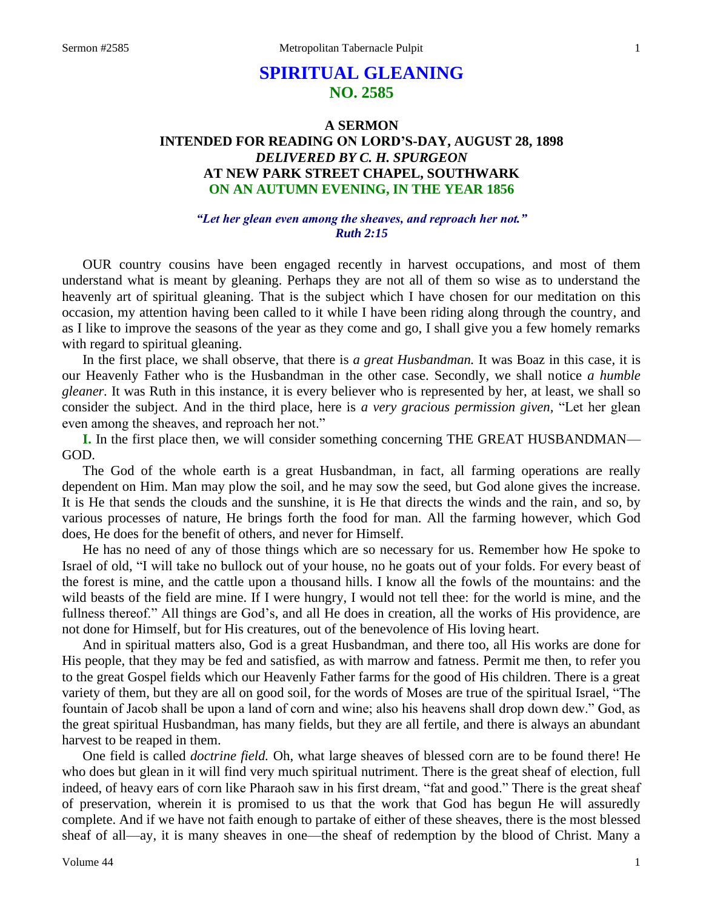# **SPIRITUAL GLEANING NO. 2585**

# **A SERMON INTENDED FOR READING ON LORD'S-DAY, AUGUST 28, 1898** *DELIVERED BY C. H. SPURGEON* **AT NEW PARK STREET CHAPEL, SOUTHWARK ON AN AUTUMN EVENING, IN THE YEAR 1856**

### *"Let her glean even among the sheaves, and reproach her not." Ruth 2:15*

OUR country cousins have been engaged recently in harvest occupations, and most of them understand what is meant by gleaning. Perhaps they are not all of them so wise as to understand the heavenly art of spiritual gleaning. That is the subject which I have chosen for our meditation on this occasion, my attention having been called to it while I have been riding along through the country, and as I like to improve the seasons of the year as they come and go, I shall give you a few homely remarks with regard to spiritual gleaning.

In the first place, we shall observe, that there is *a great Husbandman.* It was Boaz in this case, it is our Heavenly Father who is the Husbandman in the other case. Secondly, we shall notice *a humble gleaner.* It was Ruth in this instance, it is every believer who is represented by her, at least, we shall so consider the subject. And in the third place, here is *a very gracious permission given,* "Let her glean even among the sheaves, and reproach her not."

**I.** In the first place then, we will consider something concerning THE GREAT HUSBANDMAN— GOD.

The God of the whole earth is a great Husbandman, in fact, all farming operations are really dependent on Him. Man may plow the soil, and he may sow the seed, but God alone gives the increase. It is He that sends the clouds and the sunshine, it is He that directs the winds and the rain, and so, by various processes of nature, He brings forth the food for man. All the farming however, which God does, He does for the benefit of others, and never for Himself.

He has no need of any of those things which are so necessary for us. Remember how He spoke to Israel of old, "I will take no bullock out of your house, no he goats out of your folds. For every beast of the forest is mine, and the cattle upon a thousand hills. I know all the fowls of the mountains: and the wild beasts of the field are mine. If I were hungry, I would not tell thee: for the world is mine, and the fullness thereof." All things are God's, and all He does in creation, all the works of His providence, are not done for Himself, but for His creatures, out of the benevolence of His loving heart.

And in spiritual matters also, God is a great Husbandman, and there too, all His works are done for His people, that they may be fed and satisfied, as with marrow and fatness. Permit me then, to refer you to the great Gospel fields which our Heavenly Father farms for the good of His children. There is a great variety of them, but they are all on good soil, for the words of Moses are true of the spiritual Israel, "The fountain of Jacob shall be upon a land of corn and wine; also his heavens shall drop down dew." God, as the great spiritual Husbandman, has many fields, but they are all fertile, and there is always an abundant harvest to be reaped in them.

One field is called *doctrine field.* Oh, what large sheaves of blessed corn are to be found there! He who does but glean in it will find very much spiritual nutriment. There is the great sheaf of election, full indeed, of heavy ears of corn like Pharaoh saw in his first dream, "fat and good." There is the great sheaf of preservation, wherein it is promised to us that the work that God has begun He will assuredly complete. And if we have not faith enough to partake of either of these sheaves, there is the most blessed sheaf of all—ay, it is many sheaves in one—the sheaf of redemption by the blood of Christ. Many a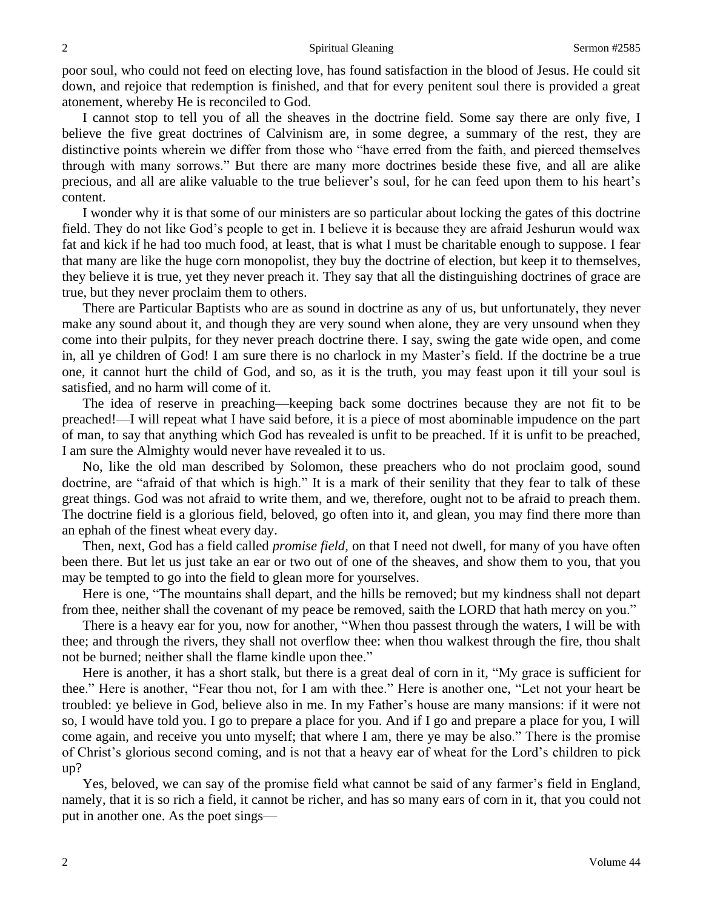poor soul, who could not feed on electing love, has found satisfaction in the blood of Jesus. He could sit down, and rejoice that redemption is finished, and that for every penitent soul there is provided a great atonement, whereby He is reconciled to God.

I cannot stop to tell you of all the sheaves in the doctrine field. Some say there are only five, I believe the five great doctrines of Calvinism are, in some degree, a summary of the rest, they are distinctive points wherein we differ from those who "have erred from the faith, and pierced themselves through with many sorrows." But there are many more doctrines beside these five, and all are alike precious, and all are alike valuable to the true believer's soul, for he can feed upon them to his heart's content.

I wonder why it is that some of our ministers are so particular about locking the gates of this doctrine field. They do not like God's people to get in. I believe it is because they are afraid Jeshurun would wax fat and kick if he had too much food, at least, that is what I must be charitable enough to suppose. I fear that many are like the huge corn monopolist, they buy the doctrine of election, but keep it to themselves, they believe it is true, yet they never preach it. They say that all the distinguishing doctrines of grace are true, but they never proclaim them to others.

There are Particular Baptists who are as sound in doctrine as any of us, but unfortunately, they never make any sound about it, and though they are very sound when alone, they are very unsound when they come into their pulpits, for they never preach doctrine there. I say, swing the gate wide open, and come in, all ye children of God! I am sure there is no charlock in my Master's field. If the doctrine be a true one, it cannot hurt the child of God, and so, as it is the truth, you may feast upon it till your soul is satisfied, and no harm will come of it.

The idea of reserve in preaching—keeping back some doctrines because they are not fit to be preached!—I will repeat what I have said before, it is a piece of most abominable impudence on the part of man, to say that anything which God has revealed is unfit to be preached. If it is unfit to be preached, I am sure the Almighty would never have revealed it to us.

No, like the old man described by Solomon, these preachers who do not proclaim good, sound doctrine, are "afraid of that which is high." It is a mark of their senility that they fear to talk of these great things. God was not afraid to write them, and we, therefore, ought not to be afraid to preach them. The doctrine field is a glorious field, beloved, go often into it, and glean, you may find there more than an ephah of the finest wheat every day.

Then, next, God has a field called *promise field,* on that I need not dwell, for many of you have often been there. But let us just take an ear or two out of one of the sheaves, and show them to you, that you may be tempted to go into the field to glean more for yourselves.

Here is one, "The mountains shall depart, and the hills be removed; but my kindness shall not depart from thee, neither shall the covenant of my peace be removed, saith the LORD that hath mercy on you."

There is a heavy ear for you, now for another, "When thou passest through the waters, I will be with thee; and through the rivers, they shall not overflow thee: when thou walkest through the fire, thou shalt not be burned; neither shall the flame kindle upon thee."

Here is another, it has a short stalk, but there is a great deal of corn in it, "My grace is sufficient for thee." Here is another, "Fear thou not, for I am with thee." Here is another one, "Let not your heart be troubled: ye believe in God, believe also in me. In my Father's house are many mansions: if it were not so, I would have told you. I go to prepare a place for you. And if I go and prepare a place for you, I will come again, and receive you unto myself; that where I am, there ye may be also." There is the promise of Christ's glorious second coming, and is not that a heavy ear of wheat for the Lord's children to pick up?

Yes, beloved, we can say of the promise field what cannot be said of any farmer's field in England, namely, that it is so rich a field, it cannot be richer, and has so many ears of corn in it, that you could not put in another one. As the poet sings—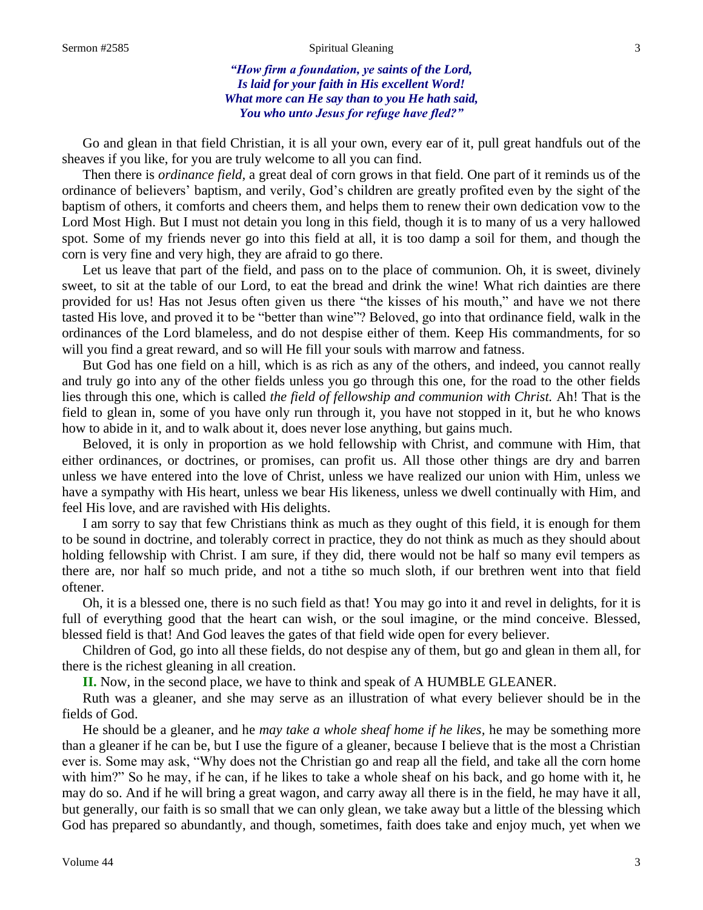*"How firm a foundation, ye saints of the Lord, Is laid for your faith in His excellent Word! What more can He say than to you He hath said, You who unto Jesus for refuge have fled?"*

Go and glean in that field Christian, it is all your own, every ear of it, pull great handfuls out of the sheaves if you like, for you are truly welcome to all you can find.

Then there is *ordinance field,* a great deal of corn grows in that field. One part of it reminds us of the ordinance of believers' baptism, and verily, God's children are greatly profited even by the sight of the baptism of others, it comforts and cheers them, and helps them to renew their own dedication vow to the Lord Most High. But I must not detain you long in this field, though it is to many of us a very hallowed spot. Some of my friends never go into this field at all, it is too damp a soil for them, and though the corn is very fine and very high, they are afraid to go there.

Let us leave that part of the field, and pass on to the place of communion. Oh, it is sweet, divinely sweet, to sit at the table of our Lord, to eat the bread and drink the wine! What rich dainties are there provided for us! Has not Jesus often given us there "the kisses of his mouth," and have we not there tasted His love, and proved it to be "better than wine"? Beloved, go into that ordinance field, walk in the ordinances of the Lord blameless, and do not despise either of them. Keep His commandments, for so will you find a great reward, and so will He fill your souls with marrow and fatness.

But God has one field on a hill, which is as rich as any of the others, and indeed, you cannot really and truly go into any of the other fields unless you go through this one, for the road to the other fields lies through this one, which is called *the field of fellowship and communion with Christ.* Ah! That is the field to glean in, some of you have only run through it, you have not stopped in it, but he who knows how to abide in it, and to walk about it, does never lose anything, but gains much.

Beloved, it is only in proportion as we hold fellowship with Christ, and commune with Him, that either ordinances, or doctrines, or promises, can profit us. All those other things are dry and barren unless we have entered into the love of Christ, unless we have realized our union with Him, unless we have a sympathy with His heart, unless we bear His likeness, unless we dwell continually with Him, and feel His love, and are ravished with His delights.

I am sorry to say that few Christians think as much as they ought of this field, it is enough for them to be sound in doctrine, and tolerably correct in practice, they do not think as much as they should about holding fellowship with Christ. I am sure, if they did, there would not be half so many evil tempers as there are, nor half so much pride, and not a tithe so much sloth, if our brethren went into that field oftener.

Oh, it is a blessed one, there is no such field as that! You may go into it and revel in delights, for it is full of everything good that the heart can wish, or the soul imagine, or the mind conceive. Blessed, blessed field is that! And God leaves the gates of that field wide open for every believer.

Children of God, go into all these fields, do not despise any of them, but go and glean in them all, for there is the richest gleaning in all creation.

**II.** Now, in the second place, we have to think and speak of A HUMBLE GLEANER.

Ruth was a gleaner, and she may serve as an illustration of what every believer should be in the fields of God.

He should be a gleaner, and he *may take a whole sheaf home if he likes,* he may be something more than a gleaner if he can be, but I use the figure of a gleaner, because I believe that is the most a Christian ever is. Some may ask, "Why does not the Christian go and reap all the field, and take all the corn home with him?" So he may, if he can, if he likes to take a whole sheaf on his back, and go home with it, he may do so. And if he will bring a great wagon, and carry away all there is in the field, he may have it all, but generally, our faith is so small that we can only glean, we take away but a little of the blessing which God has prepared so abundantly, and though, sometimes, faith does take and enjoy much, yet when we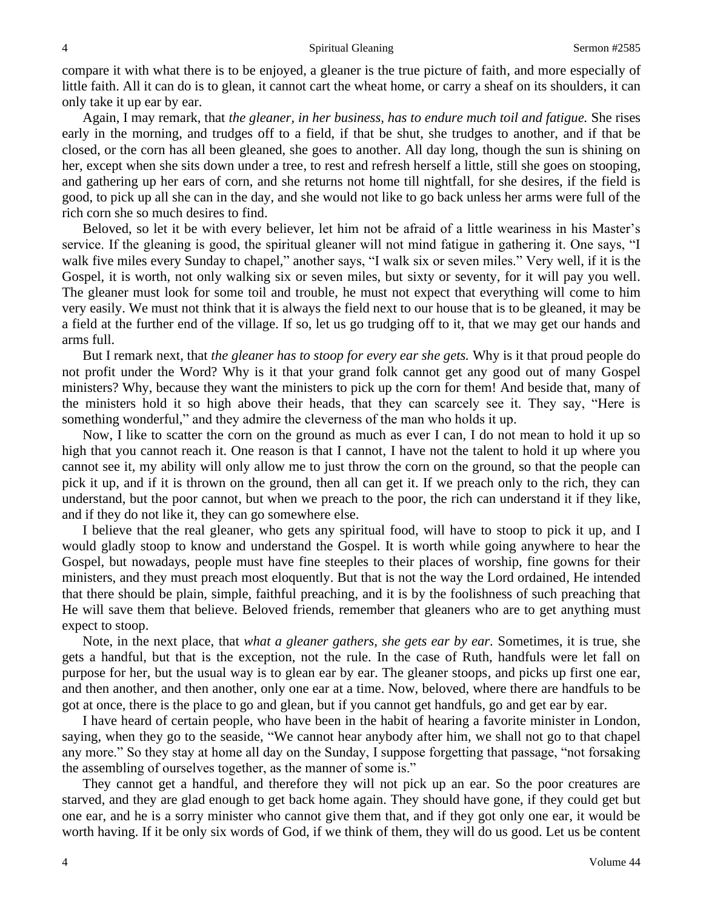compare it with what there is to be enjoyed, a gleaner is the true picture of faith, and more especially of little faith. All it can do is to glean, it cannot cart the wheat home, or carry a sheaf on its shoulders, it can only take it up ear by ear.

Again, I may remark, that *the gleaner, in her business, has to endure much toil and fatigue.* She rises early in the morning, and trudges off to a field, if that be shut, she trudges to another, and if that be closed, or the corn has all been gleaned, she goes to another. All day long, though the sun is shining on her, except when she sits down under a tree, to rest and refresh herself a little, still she goes on stooping, and gathering up her ears of corn, and she returns not home till nightfall, for she desires, if the field is good, to pick up all she can in the day, and she would not like to go back unless her arms were full of the rich corn she so much desires to find.

Beloved, so let it be with every believer, let him not be afraid of a little weariness in his Master's service. If the gleaning is good, the spiritual gleaner will not mind fatigue in gathering it. One says, "I walk five miles every Sunday to chapel," another says, "I walk six or seven miles." Very well, if it is the Gospel, it is worth, not only walking six or seven miles, but sixty or seventy, for it will pay you well. The gleaner must look for some toil and trouble, he must not expect that everything will come to him very easily. We must not think that it is always the field next to our house that is to be gleaned, it may be a field at the further end of the village. If so, let us go trudging off to it, that we may get our hands and arms full.

But I remark next, that *the gleaner has to stoop for every ear she gets.* Why is it that proud people do not profit under the Word? Why is it that your grand folk cannot get any good out of many Gospel ministers? Why, because they want the ministers to pick up the corn for them! And beside that, many of the ministers hold it so high above their heads, that they can scarcely see it. They say, "Here is something wonderful," and they admire the cleverness of the man who holds it up.

Now, I like to scatter the corn on the ground as much as ever I can, I do not mean to hold it up so high that you cannot reach it. One reason is that I cannot, I have not the talent to hold it up where you cannot see it, my ability will only allow me to just throw the corn on the ground, so that the people can pick it up, and if it is thrown on the ground, then all can get it. If we preach only to the rich, they can understand, but the poor cannot, but when we preach to the poor, the rich can understand it if they like, and if they do not like it, they can go somewhere else.

I believe that the real gleaner, who gets any spiritual food, will have to stoop to pick it up, and I would gladly stoop to know and understand the Gospel. It is worth while going anywhere to hear the Gospel, but nowadays, people must have fine steeples to their places of worship, fine gowns for their ministers, and they must preach most eloquently. But that is not the way the Lord ordained, He intended that there should be plain, simple, faithful preaching, and it is by the foolishness of such preaching that He will save them that believe. Beloved friends, remember that gleaners who are to get anything must expect to stoop.

Note, in the next place, that *what a gleaner gathers, she gets ear by ear.* Sometimes, it is true, she gets a handful, but that is the exception, not the rule. In the case of Ruth, handfuls were let fall on purpose for her, but the usual way is to glean ear by ear. The gleaner stoops, and picks up first one ear, and then another, and then another, only one ear at a time. Now, beloved, where there are handfuls to be got at once, there is the place to go and glean, but if you cannot get handfuls, go and get ear by ear.

I have heard of certain people, who have been in the habit of hearing a favorite minister in London, saying, when they go to the seaside, "We cannot hear anybody after him, we shall not go to that chapel any more." So they stay at home all day on the Sunday, I suppose forgetting that passage, "not forsaking the assembling of ourselves together, as the manner of some is."

They cannot get a handful, and therefore they will not pick up an ear. So the poor creatures are starved, and they are glad enough to get back home again. They should have gone, if they could get but one ear, and he is a sorry minister who cannot give them that, and if they got only one ear, it would be worth having. If it be only six words of God, if we think of them, they will do us good. Let us be content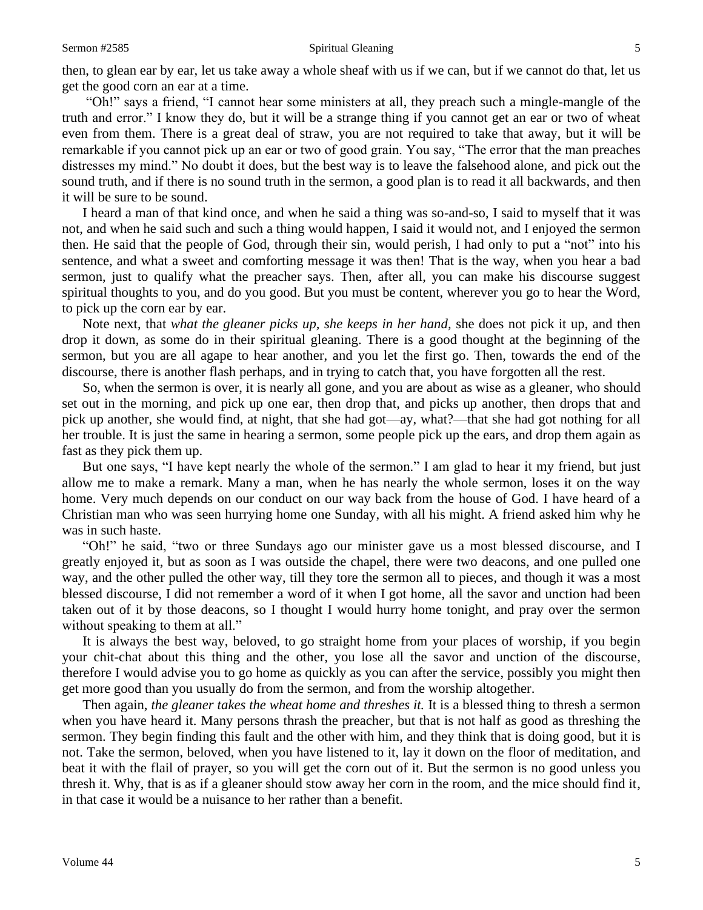then, to glean ear by ear, let us take away a whole sheaf with us if we can, but if we cannot do that, let us get the good corn an ear at a time.

"Oh!" says a friend, "I cannot hear some ministers at all, they preach such a mingle-mangle of the truth and error." I know they do, but it will be a strange thing if you cannot get an ear or two of wheat even from them. There is a great deal of straw, you are not required to take that away, but it will be remarkable if you cannot pick up an ear or two of good grain. You say, "The error that the man preaches distresses my mind." No doubt it does, but the best way is to leave the falsehood alone, and pick out the sound truth, and if there is no sound truth in the sermon, a good plan is to read it all backwards, and then it will be sure to be sound.

I heard a man of that kind once, and when he said a thing was so-and-so, I said to myself that it was not, and when he said such and such a thing would happen, I said it would not, and I enjoyed the sermon then. He said that the people of God, through their sin, would perish, I had only to put a "not" into his sentence, and what a sweet and comforting message it was then! That is the way, when you hear a bad sermon, just to qualify what the preacher says. Then, after all, you can make his discourse suggest spiritual thoughts to you, and do you good. But you must be content, wherever you go to hear the Word, to pick up the corn ear by ear.

Note next, that *what the gleaner picks up, she keeps in her hand,* she does not pick it up, and then drop it down, as some do in their spiritual gleaning. There is a good thought at the beginning of the sermon, but you are all agape to hear another, and you let the first go. Then, towards the end of the discourse, there is another flash perhaps, and in trying to catch that, you have forgotten all the rest.

So, when the sermon is over, it is nearly all gone, and you are about as wise as a gleaner, who should set out in the morning, and pick up one ear, then drop that, and picks up another, then drops that and pick up another, she would find, at night, that she had got—ay, what?—that she had got nothing for all her trouble. It is just the same in hearing a sermon, some people pick up the ears, and drop them again as fast as they pick them up.

But one says, "I have kept nearly the whole of the sermon." I am glad to hear it my friend, but just allow me to make a remark. Many a man, when he has nearly the whole sermon, loses it on the way home. Very much depends on our conduct on our way back from the house of God. I have heard of a Christian man who was seen hurrying home one Sunday, with all his might. A friend asked him why he was in such haste.

"Oh!" he said, "two or three Sundays ago our minister gave us a most blessed discourse, and I greatly enjoyed it, but as soon as I was outside the chapel, there were two deacons, and one pulled one way, and the other pulled the other way, till they tore the sermon all to pieces, and though it was a most blessed discourse, I did not remember a word of it when I got home, all the savor and unction had been taken out of it by those deacons, so I thought I would hurry home tonight, and pray over the sermon without speaking to them at all."

It is always the best way, beloved, to go straight home from your places of worship, if you begin your chit-chat about this thing and the other, you lose all the savor and unction of the discourse, therefore I would advise you to go home as quickly as you can after the service, possibly you might then get more good than you usually do from the sermon, and from the worship altogether.

Then again, *the gleaner takes the wheat home and threshes it*. It is a blessed thing to thresh a sermon when you have heard it. Many persons thrash the preacher, but that is not half as good as threshing the sermon. They begin finding this fault and the other with him, and they think that is doing good, but it is not. Take the sermon, beloved, when you have listened to it, lay it down on the floor of meditation, and beat it with the flail of prayer, so you will get the corn out of it. But the sermon is no good unless you thresh it. Why, that is as if a gleaner should stow away her corn in the room, and the mice should find it, in that case it would be a nuisance to her rather than a benefit.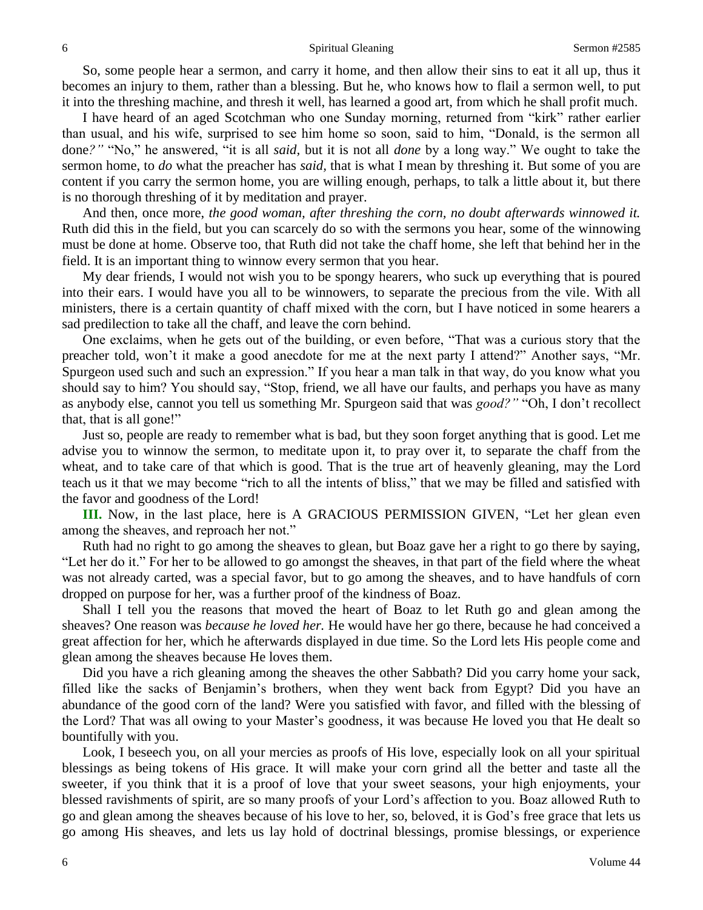So, some people hear a sermon, and carry it home, and then allow their sins to eat it all up, thus it becomes an injury to them, rather than a blessing. But he, who knows how to flail a sermon well, to put it into the threshing machine, and thresh it well, has learned a good art, from which he shall profit much.

I have heard of an aged Scotchman who one Sunday morning, returned from "kirk" rather earlier than usual, and his wife, surprised to see him home so soon, said to him, "Donald, is the sermon all done*?"* "No," he answered, "it is all *said,* but it is not all *done* by a long way." We ought to take the sermon home, to *do* what the preacher has *said,* that is what I mean by threshing it. But some of you are content if you carry the sermon home, you are willing enough, perhaps, to talk a little about it, but there is no thorough threshing of it by meditation and prayer.

And then, once more, *the good woman, after threshing the corn, no doubt afterwards winnowed it.*  Ruth did this in the field, but you can scarcely do so with the sermons you hear, some of the winnowing must be done at home. Observe too, that Ruth did not take the chaff home, she left that behind her in the field. It is an important thing to winnow every sermon that you hear.

My dear friends, I would not wish you to be spongy hearers, who suck up everything that is poured into their ears. I would have you all to be winnowers, to separate the precious from the vile. With all ministers, there is a certain quantity of chaff mixed with the corn, but I have noticed in some hearers a sad predilection to take all the chaff, and leave the corn behind.

One exclaims, when he gets out of the building, or even before, "That was a curious story that the preacher told, won't it make a good anecdote for me at the next party I attend?" Another says, "Mr. Spurgeon used such and such an expression." If you hear a man talk in that way, do you know what you should say to him? You should say, "Stop, friend, we all have our faults, and perhaps you have as many as anybody else, cannot you tell us something Mr. Spurgeon said that was *good?"* "Oh, I don't recollect that, that is all gone!"

Just so, people are ready to remember what is bad, but they soon forget anything that is good. Let me advise you to winnow the sermon, to meditate upon it, to pray over it, to separate the chaff from the wheat, and to take care of that which is good. That is the true art of heavenly gleaning, may the Lord teach us it that we may become "rich to all the intents of bliss," that we may be filled and satisfied with the favor and goodness of the Lord!

**III.** Now, in the last place, here is A GRACIOUS PERMISSION GIVEN, "Let her glean even among the sheaves, and reproach her not."

Ruth had no right to go among the sheaves to glean, but Boaz gave her a right to go there by saying, "Let her do it." For her to be allowed to go amongst the sheaves, in that part of the field where the wheat was not already carted, was a special favor, but to go among the sheaves, and to have handfuls of corn dropped on purpose for her, was a further proof of the kindness of Boaz.

Shall I tell you the reasons that moved the heart of Boaz to let Ruth go and glean among the sheaves? One reason was *because he loved her.* He would have her go there, because he had conceived a great affection for her, which he afterwards displayed in due time. So the Lord lets His people come and glean among the sheaves because He loves them.

Did you have a rich gleaning among the sheaves the other Sabbath? Did you carry home your sack, filled like the sacks of Benjamin's brothers, when they went back from Egypt? Did you have an abundance of the good corn of the land? Were you satisfied with favor, and filled with the blessing of the Lord? That was all owing to your Master's goodness, it was because He loved you that He dealt so bountifully with you.

Look, I beseech you, on all your mercies as proofs of His love, especially look on all your spiritual blessings as being tokens of His grace. It will make your corn grind all the better and taste all the sweeter, if you think that it is a proof of love that your sweet seasons, your high enjoyments, your blessed ravishments of spirit, are so many proofs of your Lord's affection to you. Boaz allowed Ruth to go and glean among the sheaves because of his love to her, so, beloved, it is God's free grace that lets us go among His sheaves, and lets us lay hold of doctrinal blessings, promise blessings, or experience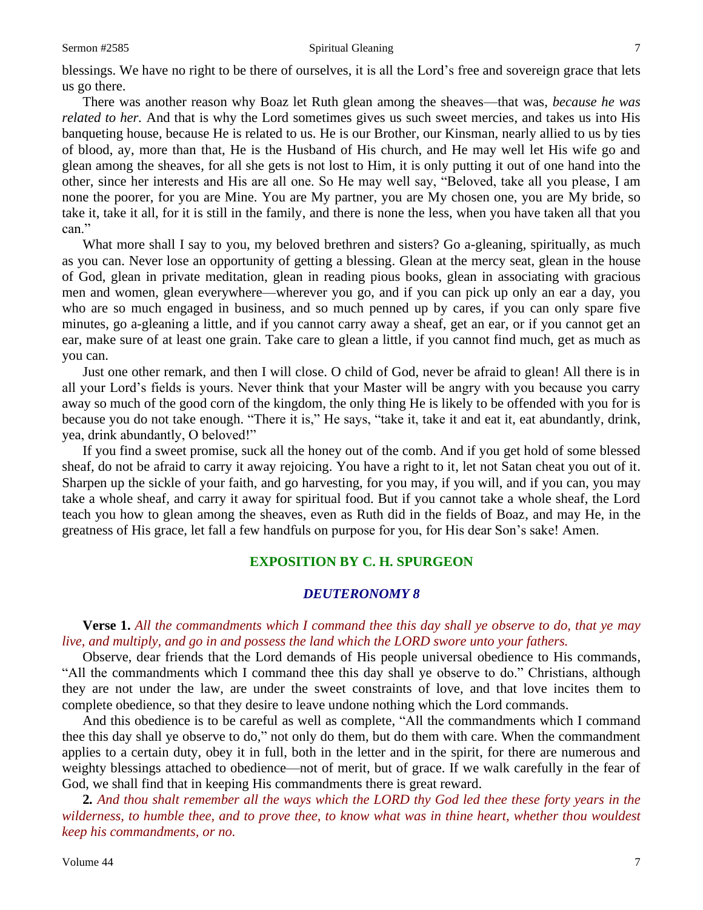blessings. We have no right to be there of ourselves, it is all the Lord's free and sovereign grace that lets us go there.

There was another reason why Boaz let Ruth glean among the sheaves—that was, *because he was related to her.* And that is why the Lord sometimes gives us such sweet mercies, and takes us into His banqueting house, because He is related to us. He is our Brother, our Kinsman, nearly allied to us by ties of blood, ay, more than that, He is the Husband of His church, and He may well let His wife go and glean among the sheaves, for all she gets is not lost to Him, it is only putting it out of one hand into the other, since her interests and His are all one. So He may well say, "Beloved, take all you please, I am none the poorer, for you are Mine. You are My partner, you are My chosen one, you are My bride, so take it, take it all, for it is still in the family, and there is none the less, when you have taken all that you can."

What more shall I say to you, my beloved brethren and sisters? Go a-gleaning, spiritually, as much as you can. Never lose an opportunity of getting a blessing. Glean at the mercy seat, glean in the house of God, glean in private meditation, glean in reading pious books, glean in associating with gracious men and women, glean everywhere—wherever you go, and if you can pick up only an ear a day, you who are so much engaged in business, and so much penned up by cares, if you can only spare five minutes, go a-gleaning a little, and if you cannot carry away a sheaf, get an ear, or if you cannot get an ear, make sure of at least one grain. Take care to glean a little, if you cannot find much, get as much as you can.

Just one other remark, and then I will close. O child of God, never be afraid to glean! All there is in all your Lord's fields is yours. Never think that your Master will be angry with you because you carry away so much of the good corn of the kingdom, the only thing He is likely to be offended with you for is because you do not take enough. "There it is," He says, "take it, take it and eat it, eat abundantly, drink, yea, drink abundantly, O beloved!"

If you find a sweet promise, suck all the honey out of the comb. And if you get hold of some blessed sheaf, do not be afraid to carry it away rejoicing. You have a right to it, let not Satan cheat you out of it. Sharpen up the sickle of your faith, and go harvesting, for you may, if you will, and if you can, you may take a whole sheaf, and carry it away for spiritual food. But if you cannot take a whole sheaf, the Lord teach you how to glean among the sheaves, even as Ruth did in the fields of Boaz, and may He, in the greatness of His grace, let fall a few handfuls on purpose for you, for His dear Son's sake! Amen.

# **EXPOSITION BY C. H. SPURGEON**

# *DEUTERONOMY 8*

**Verse 1.** *All the commandments which I command thee this day shall ye observe to do, that ye may live, and multiply, and go in and possess the land which the LORD swore unto your fathers.*

Observe, dear friends that the Lord demands of His people universal obedience to His commands, "All the commandments which I command thee this day shall ye observe to do." Christians, although they are not under the law, are under the sweet constraints of love, and that love incites them to complete obedience, so that they desire to leave undone nothing which the Lord commands.

And this obedience is to be careful as well as complete, "All the commandments which I command thee this day shall ye observe to do," not only do them, but do them with care. When the commandment applies to a certain duty, obey it in full, both in the letter and in the spirit, for there are numerous and weighty blessings attached to obedience—not of merit, but of grace. If we walk carefully in the fear of God, we shall find that in keeping His commandments there is great reward.

**2***. And thou shalt remember all the ways which the LORD thy God led thee these forty years in the wilderness, to humble thee, and to prove thee, to know what was in thine heart, whether thou wouldest keep his commandments, or no.*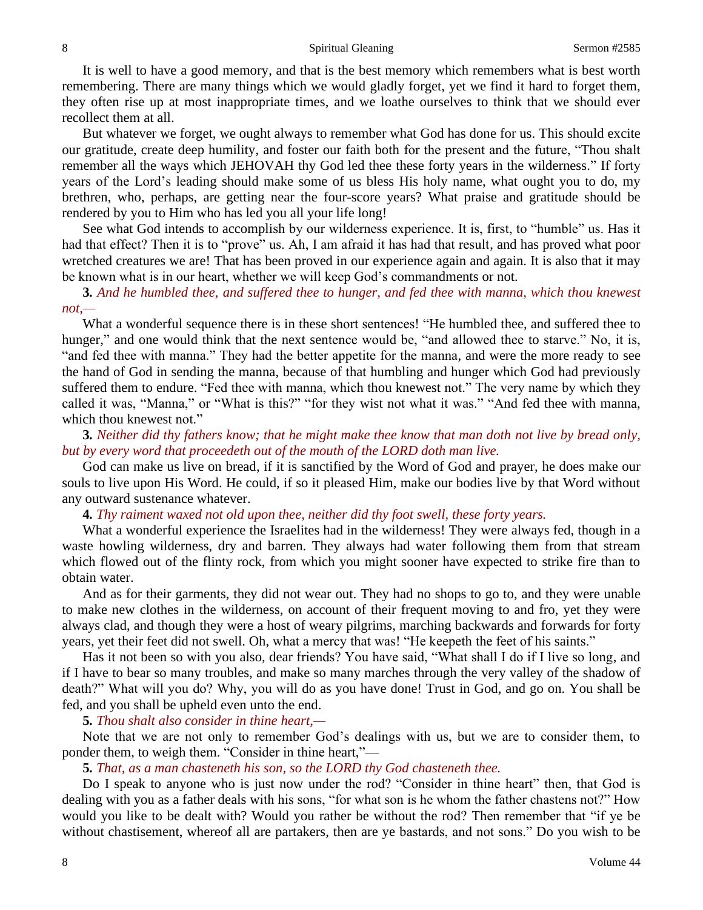It is well to have a good memory, and that is the best memory which remembers what is best worth remembering. There are many things which we would gladly forget, yet we find it hard to forget them, they often rise up at most inappropriate times, and we loathe ourselves to think that we should ever recollect them at all.

But whatever we forget, we ought always to remember what God has done for us. This should excite our gratitude, create deep humility, and foster our faith both for the present and the future, "Thou shalt remember all the ways which JEHOVAH thy God led thee these forty years in the wilderness." If forty years of the Lord's leading should make some of us bless His holy name, what ought you to do, my brethren, who, perhaps, are getting near the four-score years? What praise and gratitude should be rendered by you to Him who has led you all your life long!

See what God intends to accomplish by our wilderness experience. It is, first, to "humble" us. Has it had that effect? Then it is to "prove" us. Ah, I am afraid it has had that result, and has proved what poor wretched creatures we are! That has been proved in our experience again and again. It is also that it may be known what is in our heart, whether we will keep God's commandments or not.

**3***. And he humbled thee, and suffered thee to hunger, and fed thee with manna, which thou knewest not,—*

What a wonderful sequence there is in these short sentences! "He humbled thee, and suffered thee to hunger," and one would think that the next sentence would be, "and allowed thee to starve." No, it is, "and fed thee with manna." They had the better appetite for the manna, and were the more ready to see the hand of God in sending the manna, because of that humbling and hunger which God had previously suffered them to endure. "Fed thee with manna, which thou knewest not." The very name by which they called it was, "Manna," or "What is this?" "for they wist not what it was." "And fed thee with manna, which thou knewest not."

**3***. Neither did thy fathers know; that he might make thee know that man doth not live by bread only, but by every word that proceedeth out of the mouth of the LORD doth man live.*

God can make us live on bread, if it is sanctified by the Word of God and prayer, he does make our souls to live upon His Word. He could, if so it pleased Him, make our bodies live by that Word without any outward sustenance whatever.

**4***. Thy raiment waxed not old upon thee, neither did thy foot swell, these forty years.*

What a wonderful experience the Israelites had in the wilderness! They were always fed, though in a waste howling wilderness, dry and barren. They always had water following them from that stream which flowed out of the flinty rock, from which you might sooner have expected to strike fire than to obtain water.

And as for their garments, they did not wear out. They had no shops to go to, and they were unable to make new clothes in the wilderness, on account of their frequent moving to and fro, yet they were always clad, and though they were a host of weary pilgrims, marching backwards and forwards for forty years, yet their feet did not swell. Oh, what a mercy that was! "He keepeth the feet of his saints."

Has it not been so with you also, dear friends? You have said, "What shall I do if I live so long, and if I have to bear so many troubles, and make so many marches through the very valley of the shadow of death?" What will you do? Why, you will do as you have done! Trust in God, and go on. You shall be fed, and you shall be upheld even unto the end.

**5***. Thou shalt also consider in thine heart,—*

Note that we are not only to remember God's dealings with us, but we are to consider them, to ponder them, to weigh them. "Consider in thine heart,"—

**5***. That, as a man chasteneth his son, so the LORD thy God chasteneth thee.*

Do I speak to anyone who is just now under the rod? "Consider in thine heart" then, that God is dealing with you as a father deals with his sons, "for what son is he whom the father chastens not?" How would you like to be dealt with? Would you rather be without the rod? Then remember that "if ye be without chastisement, whereof all are partakers, then are ye bastards, and not sons." Do you wish to be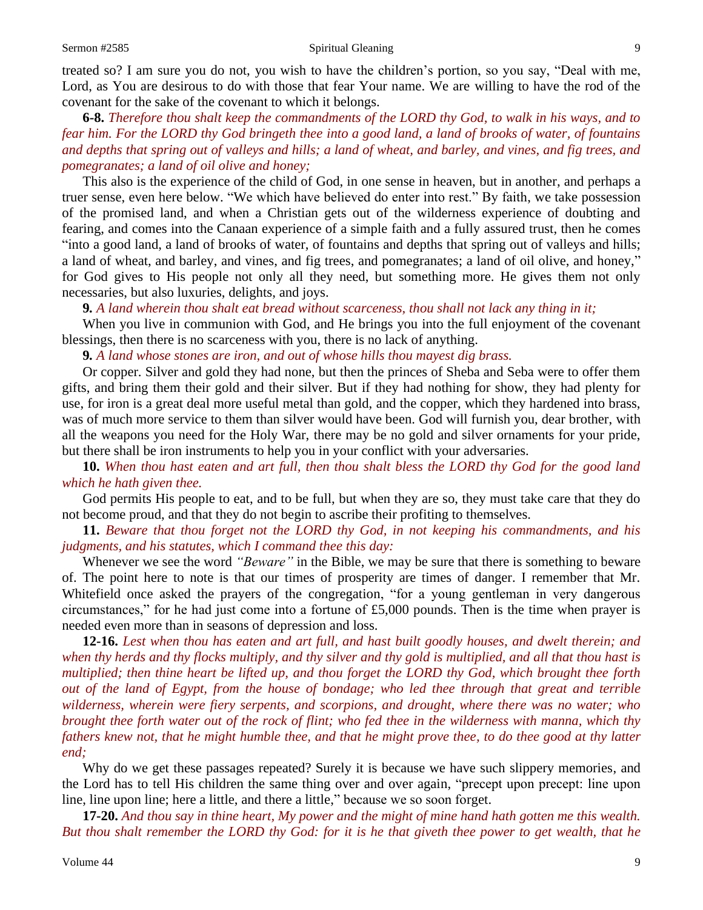treated so? I am sure you do not, you wish to have the children's portion, so you say, "Deal with me, Lord, as You are desirous to do with those that fear Your name. We are willing to have the rod of the covenant for the sake of the covenant to which it belongs.

**6-8.** *Therefore thou shalt keep the commandments of the LORD thy God, to walk in his ways, and to fear him. For the LORD thy God bringeth thee into a good land, a land of brooks of water, of fountains and depths that spring out of valleys and hills; a land of wheat, and barley, and vines, and fig trees, and pomegranates; a land of oil olive and honey;*

This also is the experience of the child of God, in one sense in heaven, but in another, and perhaps a truer sense, even here below. "We which have believed do enter into rest." By faith, we take possession of the promised land, and when a Christian gets out of the wilderness experience of doubting and fearing, and comes into the Canaan experience of a simple faith and a fully assured trust, then he comes "into a good land, a land of brooks of water, of fountains and depths that spring out of valleys and hills; a land of wheat, and barley, and vines, and fig trees, and pomegranates; a land of oil olive, and honey," for God gives to His people not only all they need, but something more. He gives them not only necessaries, but also luxuries, delights, and joys.

**9***. A land wherein thou shalt eat bread without scarceness, thou shall not lack any thing in it;*

When you live in communion with God, and He brings you into the full enjoyment of the covenant blessings, then there is no scarceness with you, there is no lack of anything.

**9***. A land whose stones are iron, and out of whose hills thou mayest dig brass.*

Or copper. Silver and gold they had none, but then the princes of Sheba and Seba were to offer them gifts, and bring them their gold and their silver. But if they had nothing for show, they had plenty for use, for iron is a great deal more useful metal than gold, and the copper, which they hardened into brass, was of much more service to them than silver would have been. God will furnish you, dear brother, with all the weapons you need for the Holy War, there may be no gold and silver ornaments for your pride, but there shall be iron instruments to help you in your conflict with your adversaries.

**10.** *When thou hast eaten and art full, then thou shalt bless the LORD thy God for the good land which he hath given thee.*

God permits His people to eat, and to be full, but when they are so, they must take care that they do not become proud, and that they do not begin to ascribe their profiting to themselves.

**11.** *Beware that thou forget not the LORD thy God, in not keeping his commandments, and his judgments, and his statutes, which I command thee this day:*

Whenever we see the word *"Beware"* in the Bible, we may be sure that there is something to beware of. The point here to note is that our times of prosperity are times of danger. I remember that Mr. Whitefield once asked the prayers of the congregation, "for a young gentleman in very dangerous circumstances," for he had just come into a fortune of £5,000 pounds. Then is the time when prayer is needed even more than in seasons of depression and loss.

**12-16.** *Lest when thou has eaten and art full, and hast built goodly houses, and dwelt therein; and when thy herds and thy flocks multiply, and thy silver and thy gold is multiplied, and all that thou hast is multiplied; then thine heart be lifted up, and thou forget the LORD thy God, which brought thee forth out of the land of Egypt, from the house of bondage; who led thee through that great and terrible wilderness, wherein were fiery serpents, and scorpions, and drought, where there was no water; who brought thee forth water out of the rock of flint; who fed thee in the wilderness with manna, which thy fathers knew not, that he might humble thee, and that he might prove thee, to do thee good at thy latter end;*

Why do we get these passages repeated? Surely it is because we have such slippery memories, and the Lord has to tell His children the same thing over and over again, "precept upon precept: line upon line, line upon line; here a little, and there a little," because we so soon forget.

**17-20.** *And thou say in thine heart, My power and the might of mine hand hath gotten me this wealth. But thou shalt remember the LORD thy God: for it is he that giveth thee power to get wealth, that he*